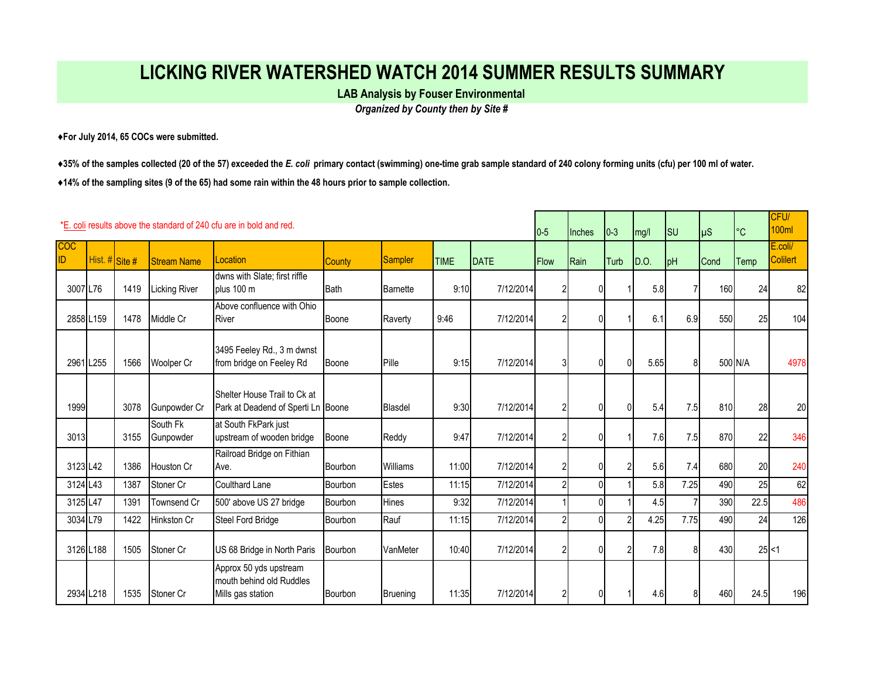## **LICKING RIVER WATERSHED WATCH 2014 SUMMER RESULTS SUMMARY**

**LAB Analysis by Fouser Environmental** 

*Organized by County then by Site #*

**♦For July 2014, 65 COCs were submitted.** 

**♦35% of the samples collected (20 of the 57) exceeded the** *E. coli* **primary contact (swimming) one-time grab sample standard of 240 colony forming units (cfu) per 100 ml of water.**

**♦14% of the sampling sites (9 of the 65) had some rain within the 48 hours prior to sample collection.** 

|                   | *E, coli results above the standard of 240 cfu are in bold and red.<br>$0-5$ |      |                       |                                                                         |                |                |             |           |                | <b>Inches</b>  | $ 0-3 $        | mg/l | <b>SU</b> | $\mu$ S | $\circ$ C | CFU/<br>100ml       |
|-------------------|------------------------------------------------------------------------------|------|-----------------------|-------------------------------------------------------------------------|----------------|----------------|-------------|-----------|----------------|----------------|----------------|------|-----------|---------|-----------|---------------------|
| <b>COC</b><br>ID. | Hist. # Site #                                                               |      | <b>Stream Name</b>    | Location                                                                | <b>County</b>  | <b>Sampler</b> | <b>TIME</b> | DATE      | <b>Flow</b>    | <b>Rain</b>    | Turb           | D.O. | pH        | Cond    | Temp      | E.coli/<br>Colilert |
| 3007 L76          |                                                                              | 1419 | Licking River         | dwns with Slate; first riffle<br>plus 100 m                             | Bath           | Barnette       | 9:10        | 7/12/2014 | $\overline{2}$ | $\mathbf{0}$   |                | 5.8  |           | 160     | 24        | 82                  |
| 2858 L159         |                                                                              | 1478 | Middle Cr             | Above confluence with Ohio<br>River                                     | Boone          | Raverty        | 9:46        | 7/12/2014 | $\overline{2}$ | 0              |                | 6.1  | 6.9       | 550     | 25        | 104                 |
| 2961 L255         |                                                                              | 1566 | Woolper Cr            | 3495 Feeley Rd., 3 m dwnst<br>from bridge on Feeley Rd                  | <b>I</b> Boone | Pille          | 9:15        | 7/12/2014 | 31             | $\overline{0}$ | $\overline{0}$ | 5.65 | 8         |         | 500 N/A   | 4978                |
| 1999              |                                                                              | 3078 | Gunpowder Cr          | Shelter House Trail to Ck at<br>Park at Deadend of Sperti Ln Boone      |                | <b>Blasdel</b> | 9:30        | 7/12/2014 | 21             | 0              | N              | 5.4  | 7.5       | 810     | 28        | 20                  |
| 3013              |                                                                              | 3155 | South Fk<br>Gunpowder | at South FkPark just<br>upstream of wooden bridge                       | Boone          | Reddy          | 9:47        | 7/12/2014 | $\overline{2}$ | $\overline{0}$ |                | 7.6  | 7.5       | 870     | 22        | 346                 |
| 3123 L42          |                                                                              | 1386 | Houston Cr            | Railroad Bridge on Fithian<br>Ave.                                      | Bourbon        | Williams       | 11:00       | 7/12/2014 | $\overline{2}$ | 0              |                | 5.6  | 7.4       | 680     | 20        | 240                 |
| 3124 L43          |                                                                              | 1387 | Stoner Cr             | <b>Coulthard Lane</b>                                                   | Bourbon        | <b>Estes</b>   | 11:15       | 7/12/2014 | $\overline{2}$ | $\overline{0}$ |                | 5.8  | 7.25      | 490     | 25        | 62                  |
| 3125 L47          |                                                                              | 1391 | Townsend Cr           | 500' above US 27 bridge                                                 | Bourbon        | Hines          | 9:32        | 7/12/2014 |                | 0              |                | 4.5  |           | 390     | 22.5      | 486                 |
| 3034 L79          |                                                                              | 1422 | Hinkston Cr           | Steel Ford Bridge                                                       | Bourbon        | Rauf           | 11:15       | 7/12/2014 | $\overline{2}$ | $\overline{0}$ |                | 4.25 | 7.75      | 490     | 24        | 126                 |
| 3126 L188         |                                                                              | 1505 | Stoner Cr             | US 68 Bridge in North Paris                                             | Bourbon        | VanMeter       | 10:40       | 7/12/2014 | $\overline{2}$ | 0              |                | 7.8  | 8         | 430     | $25$ < 1  |                     |
| 2934 L218         |                                                                              | 1535 | Stoner Cr             | Approx 50 yds upstream<br>mouth behind old Ruddles<br>Mills gas station | Bourbon        | Bruening       | 11:35       | 7/12/2014 | 21             | $\mathbf{0}$   |                | 4.6  |           | 460     | 24.5      | 196                 |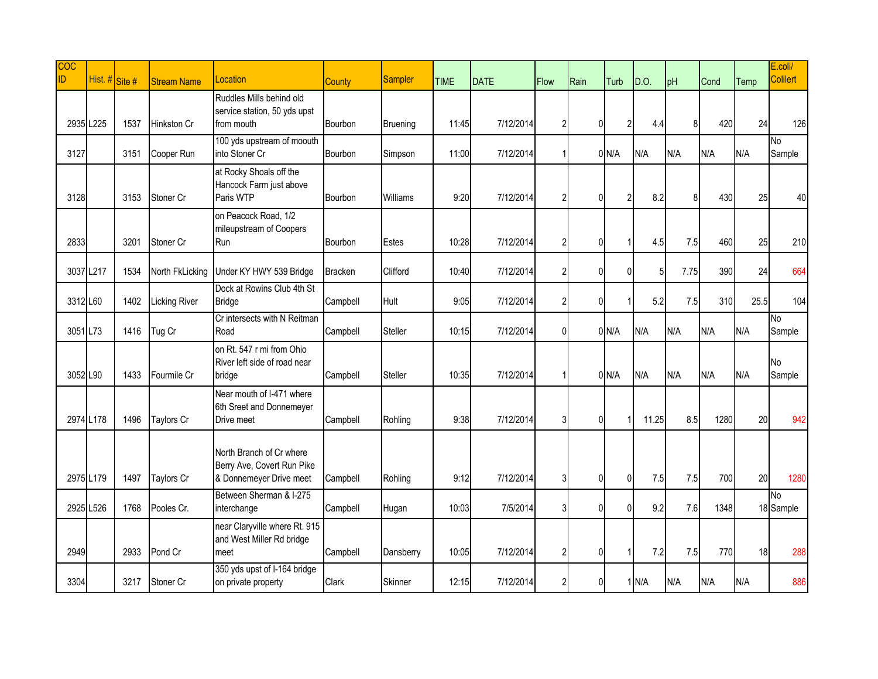| <b>COC</b><br>ID. | Hist. # Site # |      | <b>Stream Name</b>   | Location                                                                          | County         | <b>Sampler</b>  | <b>TIME</b> | <b>DATE</b> | Flow           | Rain           | Turb           | D.O.           | pH   | Cond | Temp | E.coli/<br><b>Colilert</b> |
|-------------------|----------------|------|----------------------|-----------------------------------------------------------------------------------|----------------|-----------------|-------------|-------------|----------------|----------------|----------------|----------------|------|------|------|----------------------------|
|                   | 2935 L225      | 1537 | Hinkston Cr          | Ruddles Mills behind old<br>service station, 50 yds upst<br>from mouth            | Bourbon        | <b>Bruening</b> | 11:45       | 7/12/2014   | $\overline{2}$ | $\mathbf 0$    | $\overline{2}$ | 4.4            | 8    | 420  | 24   | 126                        |
| 3127              |                | 3151 | Cooper Run           | 100 yds upstream of moouth<br>into Stoner Cr                                      | Bourbon        | Simpson         | 11:00       | 7/12/2014   |                |                | 0/N/A          | N/A            | N/A  | N/A  | N/A  | No.<br>Sample              |
| 3128              |                | 3153 | Stoner Cr            | at Rocky Shoals off the<br>Hancock Farm just above<br>Paris WTP                   | Bourbon        | Williams        | 9:20        | 7/12/2014   | $\overline{2}$ | $\pmb{0}$      | $\overline{2}$ | 8.2            | 8    | 430  | 25   | 40                         |
| 2833              |                | 3201 | Stoner Cr            | on Peacock Road, 1/2<br>mileupstream of Coopers<br>Run                            | Bourbon        | Estes           | 10:28       | 7/12/2014   | $\overline{2}$ | 0              |                | 4.5            | 7.5  | 460  | 25   | 210                        |
|                   | 3037 L217      | 1534 | North FkLicking      | Under KY HWY 539 Bridge                                                           | <b>Bracken</b> | Clifford        | 10:40       | 7/12/2014   | $\overline{2}$ | $\overline{0}$ | $\theta$       | 5 <sub>l</sub> | 7.75 | 390  | 24   | 664                        |
| 3312 L60          |                | 1402 | <b>Licking River</b> | Dock at Rowins Club 4th St<br><b>Bridge</b>                                       | Campbell       | Hult            | 9:05        | 7/12/2014   | $\overline{2}$ | $\overline{0}$ |                | 5.2            | 7.5  | 310  | 25.5 | 104                        |
| 3051 L73          |                | 1416 | Tug Cr               | Cr intersects with N Reitman<br>Road                                              | Campbell       | Steller         | 10:15       | 7/12/2014   | 0              |                | $0$ N/A        | N/A            | N/A  | N/A  | N/A  | No.<br>Sample              |
| 3052 L90          |                | 1433 | Fourmile Cr          | on Rt. 547 r mi from Ohio<br>River left side of road near<br>bridge               | Campbell       | Steller         | 10:35       | 7/12/2014   |                |                | $0$ N/A        | N/A            | N/A  | N/A  | N/A  | No<br>Sample               |
|                   | 2974 L178      | 1496 | Taylors Cr           | Near mouth of I-471 where<br>6th Sreet and Donnemeyer<br>Drive meet               | Campbell       | Rohling         | 9:38        | 7/12/2014   | 31             | 0              |                | 11.25          | 8.5  | 1280 | 20   | 942                        |
|                   | 2975 L179      | 1497 | Taylors Cr           | North Branch of Cr where<br>Berry Ave, Covert Run Pike<br>& Donnemeyer Drive meet | Campbell       | Rohling         | 9:12        | 7/12/2014   | 3              | 0              | $\Omega$       | 7.5            | 7.5  | 700  | 20   | 1280                       |
|                   | 2925 L526      | 1768 | Pooles Cr.           | Between Sherman & I-275<br>interchange                                            | Campbell       | Hugan           | 10:03       | 7/5/2014    | 3              | $\overline{0}$ | $\overline{0}$ | 9.2            | 7.6  | 1348 |      | <b>No</b><br>18 Sample     |
| 2949              |                | 2933 | Pond Cr              | near Claryville where Rt. 915<br>and West Miller Rd bridge<br>meet                | Campbell       | Dansberry       | 10:05       | 7/12/2014   | $\overline{2}$ | $\overline{0}$ |                | 7.2            | 7.5  | 770  | 18   | 288                        |
| 3304              |                | 3217 | Stoner Cr            | 350 yds upst of I-164 bridge<br>on private property                               | Clark          | <b>Skinner</b>  | 12:15       | 7/12/2014   | $\overline{2}$ | $\mathbf 0$    |                | 1M/A           | N/A  | N/A  | N/A  | 886                        |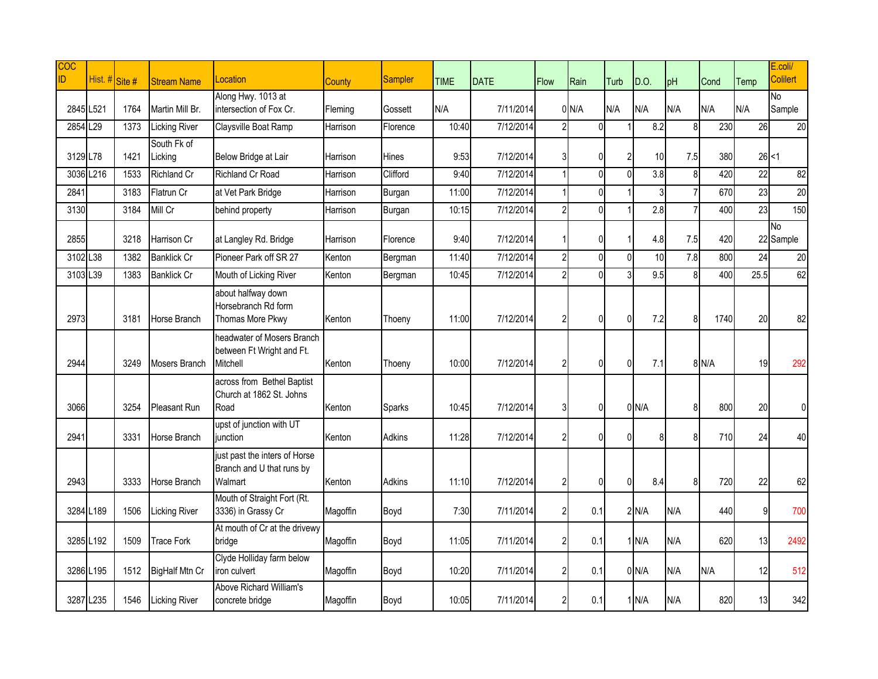| $\overline{COC}$<br>ID. | Hist. # Site # |      | <b>Stream Name</b>     | Location                                                              | County   | Sampler       | <b>TIME</b> | <b>DATE</b> | Flow           | Rain           | Turb           | D.O.               | pH               | Cond    | Temp            | E.coli/<br><b>Colilert</b> |
|-------------------------|----------------|------|------------------------|-----------------------------------------------------------------------|----------|---------------|-------------|-------------|----------------|----------------|----------------|--------------------|------------------|---------|-----------------|----------------------------|
| 2845 L521               |                | 1764 | Martin Mill Br.        | Along Hwy. 1013 at<br>intersection of Fox Cr.                         | Fleming  | Gossett       | N/A         | 7/11/2014   |                | 0/N/A          | N/A            | N/A                | N/A              | N/A     | N/A             | No<br>Sample               |
| 2854 L29                |                | 1373 | <b>Licking River</b>   | Claysville Boat Ramp                                                  | Harrison | Florence      | 10:40       | 7/12/2014   | $\overline{2}$ | $\mathbf{0}$   |                | 8.2                | 8                | 230     | 26              | 20                         |
| 3129 L78                |                | 1421 | South Fk of<br>Licking | Below Bridge at Lair                                                  | Harrison | Hines         | 9:53        | 7/12/2014   | 3              | 0              | $\overline{2}$ | 10                 | 7.5              | 380     |                 | $26$ < 1                   |
|                         | 3036 L216      | 1533 | Richland Cr            | <b>Richland Cr Road</b>                                               | Harrison | Clifford      | 9:40        | 7/12/2014   | 1              | $\pmb{0}$      | ΩI             | $\overline{3.8}$   | 8                | 420     | $\overline{22}$ | 82                         |
| 2841                    |                | 3183 | Flatrun Cr             | at Vet Park Bridge                                                    | Harrison | Burgan        | 11:00       | 7/12/2014   | 1              | $\overline{0}$ |                | 3                  | $\overline{7}$   | 670     | 23              | $\overline{20}$            |
| 3130                    |                | 3184 | Mill Cr                | behind property                                                       | Harrison | Burgan        | 10:15       | 7/12/2014   | $\overline{2}$ | $\overline{0}$ |                | 2.8                |                  | 400     | 23              | 150                        |
| 2855                    |                | 3218 | Harrison Cr            | at Langley Rd. Bridge                                                 | Harrison | Florence      | 9:40        | 7/12/2014   |                | 0              |                | 4.8                | 7.5              | 420     |                 | <b>No</b><br>22 Sample     |
| 3102 L38                |                | 1382 | <b>Banklick Cr</b>     | Pioneer Park off SR 27                                                | Kenton   | Bergman       | 11:40       | 7/12/2014   | $\overline{2}$ | $\mathbf 0$    | $\Omega$       | 10                 | $\overline{7.8}$ | 800     | 24              | 20                         |
| 3103 L39                |                | 1383 | <b>Banklick Cr</b>     | Mouth of Licking River                                                | Kenton   | Bergman       | 10:45       | 7/12/2014   | $\overline{2}$ | $\overline{0}$ |                | 9.5                | 8                | 400     | 25.5            | 62                         |
| 2973                    |                | 3181 | Horse Branch           | about halfway down<br>Horsebranch Rd form<br>Thomas More Pkwy         | Kenton   | Thoeny        | 11:00       | 7/12/2014   | $\overline{2}$ | $\pmb{0}$      | $\overline{0}$ | 7.2                | 8                | 1740    | 20              | 82                         |
| 2944                    |                | 3249 | Mosers Branch          | headwater of Mosers Branch<br>between Ft Wright and Ft.<br>Mitchell   | Kenton   | Thoeny        | 10:00       | 7/12/2014   | $\overline{2}$ | $\mathbf 0$    | $\Omega$       | 7.1                |                  | $8$ N/A | 19              | 292                        |
| 3066                    |                | 3254 | <b>Pleasant Run</b>    | across from Bethel Baptist<br>Church at 1862 St. Johns<br>Road        | Kenton   | Sparks        | 10:45       | 7/12/2014   | 3              | $\overline{0}$ |                | $0$ N/A            | 8                | 800     | 20              | $\overline{0}$             |
| 2941                    |                | 3331 | Horse Branch           | upst of junction with UT<br>iunction                                  | Kenton   | <b>Adkins</b> | 11:28       | 7/12/2014   | $\overline{2}$ | $\overline{0}$ | $\Omega$       | 8                  | 8                | 710     | 24              | 40                         |
| 2943                    |                | 3333 | Horse Branch           | just past the inters of Horse<br>Branch and U that runs by<br>Walmart | Kenton   | Adkins        | 11:10       | 7/12/2014   | $\overline{2}$ | $\pmb{0}$      | $\Omega$       | 8.4                | 8                | 720     | 22              | 62                         |
| 3284 L189               |                | 1506 | <b>Licking River</b>   | Mouth of Straight Fort (Rt.<br>3336) in Grassy Cr                     | Magoffin | Boyd          | 7:30        | 7/11/2014   | $\overline{2}$ | 0.1            |                | $2$ N/A            | N/A              | 440     | ۹l              | 700                        |
|                         | 3285 L192      | 1509 | <b>Trace Fork</b>      | At mouth of Cr at the drivewy<br>bridge                               | Magoffin | Boyd          | 11:05       | 7/11/2014   | $\overline{2}$ | 0.1            |                | $1$ <sub>N/A</sub> | N/A              | 620     | 13              | 2492                       |
|                         | 3286 L195      | 1512 | BigHalf Mtn Cr         | Clyde Holliday farm below<br>iron culvert                             | Magoffin | Boyd          | 10:20       | 7/11/2014   | $\overline{2}$ | 0.1            |                | $0$ N/A            | N/A              | N/A     | 12              | 512                        |
|                         | 3287 L235      | 1546 | <b>Licking River</b>   | Above Richard William's<br>concrete bridge                            | Magoffin | Boyd          | 10:05       | 7/11/2014   | $\overline{2}$ | 0.1            |                | $1$ <sub>N/A</sub> | N/A              | 820     | 13              | 342                        |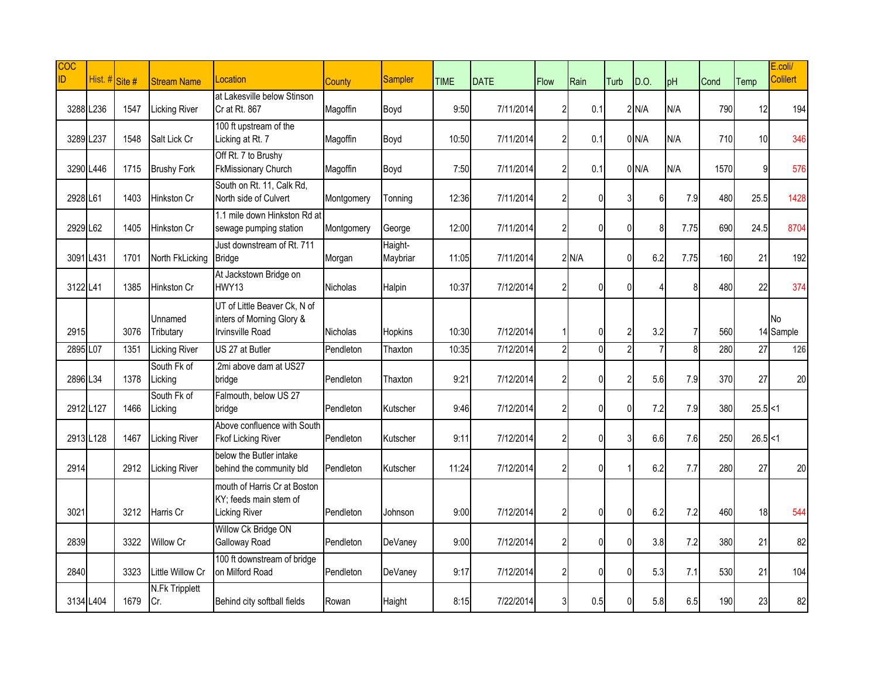| <b>COC</b><br>ID | Hist. # Site # |      | <b>Stream Name</b>           | Location                                                                             | County     | <b>Sampler</b>      | <b>TIME</b> | <b>DATE</b> | <b>Flow</b>    | Rain           | Turb                     | D.O.    | pH   | Cond | Temp       | E.coli/<br><b>Colilert</b> |
|------------------|----------------|------|------------------------------|--------------------------------------------------------------------------------------|------------|---------------------|-------------|-------------|----------------|----------------|--------------------------|---------|------|------|------------|----------------------------|
|                  | 3288 L236      | 1547 | <b>Licking River</b>         | at Lakesville below Stinson<br>Cr at Rt. 867                                         | Magoffin   | Boyd                | 9:50        | 7/11/2014   | $\overline{2}$ | 0.1            |                          | $2$ N/A | N/A  | 790  | 12         | 194                        |
|                  | 3289 L237      | 1548 | Salt Lick Cr                 | 100 ft upstream of the<br>Licking at Rt. 7                                           | Magoffin   | Boyd                | 10:50       | 7/11/2014   | $\overline{2}$ | 0.1            |                          | $0$ N/A | N/A  | 710  | 10         | 346                        |
|                  | 3290 L446      | 1715 | <b>Brushy Fork</b>           | Off Rt. 7 to Brushy<br><b>FkMissionary Church</b>                                    | Magoffin   | Boyd                | 7:50        | 7/11/2014   | $\overline{2}$ | 0.1            |                          | $0$ N/A | N/A  | 1570 |            | 576                        |
| 2928 L61         |                | 1403 | Hinkston Cr                  | South on Rt. 11, Calk Rd,<br>North side of Culvert                                   | Montgomery | Tonning             | 12:36       | 7/11/2014   | $\overline{2}$ | 0              |                          | 6       | 7.9  | 480  | 25.5       | 1428                       |
| 2929 L62         |                | 1405 | Hinkston Cr                  | 1.1 mile down Hinkston Rd at<br>sewage pumping station                               | Montgomery | George              | 12:00       | 7/11/2014   | $\overline{2}$ | 0              | $\theta$                 | 8       | 7.75 | 690  | 24.5       | 8704                       |
| 3091 L431        |                | 1701 | North FkLicking              | Just downstream of Rt. 711<br><b>Bridge</b>                                          | Morgan     | Haight-<br>Maybriar | 11:05       | 7/11/2014   |                | 2 N/A          | $\overline{0}$           | 6.2     | 7.75 | 160  | 21         | 192                        |
| 3122 L41         |                | 1385 | <b>Hinkston Cr</b>           | At Jackstown Bridge on<br>HWY13                                                      | Nicholas   | Halpin              | 10:37       | 7/12/2014   | $\overline{2}$ | $\mathbf{0}$   | $\Omega$                 | Δ       | 8    | 480  | 22         | 374                        |
| 2915             |                | 3076 | Unnamed<br>Tributary         | UT of Little Beaver Ck, N of<br>inters of Morning Glory &<br><b>Irvinsville Road</b> | Nicholas   | Hopkins             | 10:30       | 7/12/2014   |                | 0              | $\overline{2}$           | 3.2     | 7    | 560  |            | No<br>14 Sample            |
| 2895 L07         |                | 1351 | <b>Licking River</b>         | US 27 at Butler                                                                      | Pendleton  | Thaxton             | 10:35       | 7/12/2014   | $\overline{2}$ | $\mathbf 0$    | $\overline{\mathcal{L}}$ |         | 8    | 280  | 27         | 126                        |
| 2896 L34         |                | 1378 | South Fk of<br>Licking       | 2mi above dam at US27<br>bridge                                                      | Pendleton  | Thaxton             | 9:21        | 7/12/2014   | $\overline{2}$ | $\mathbf 0$    | 21                       | 5.6     | 7.9  | 370  | 27         | 20                         |
|                  | 2912 L127      | 1466 | South Fk of<br>Licking       | Falmouth, below US 27<br>bridge                                                      | Pendleton  | Kutscher            | 9:46        | 7/12/2014   | $\overline{2}$ | $\mathbf 0$    | $\Omega$                 | 7.2     | 7.9  | 380  | $25.5$ < 1 |                            |
|                  | 2913 L128      | 1467 | <b>Licking River</b>         | Above confluence with South<br><b>Fkof Licking River</b>                             | Pendleton  | Kutscher            | 9:11        | 7/12/2014   | $\overline{2}$ | $\mathbf{0}$   | 3                        | 6.6     | 7.6  | 250  | $26.5$ < 1 |                            |
| 2914             |                | 2912 | <b>Licking River</b>         | below the Butler intake<br>behind the community bld                                  | Pendleton  | Kutscher            | 11:24       | 7/12/2014   | $\overline{2}$ | $\mathbf 0$    |                          | 6.2     | 7.7  | 280  | 27         | 20                         |
| 3021             |                | 3212 | Harris Cr                    | mouth of Harris Cr at Boston<br>KY; feeds main stem of<br><b>Licking River</b>       | Pendleton  | Johnson             | 9:00        | 7/12/2014   | $\overline{2}$ | $\mathbf 0$    | $\Omega$                 | 6.2     | 7.2  | 460  | 18         | 544                        |
| 2839             |                | 3322 | Willow Cr                    | Willow Ck Bridge ON<br>Galloway Road                                                 | Pendleton  | DeVanev             | 9:00        | 7/12/2014   | $\overline{2}$ | $\overline{0}$ | $\Omega$                 | 3.8     | 7.2  | 380  | 21         | 82                         |
| 2840             |                | 3323 | Little Willow Cr             | 100 ft downstream of bridge<br>on Milford Road                                       | Pendleton  | DeVaney             | 9:17        | 7/12/2014   | $\overline{2}$ | $\mathbf{0}$   | $\Omega$                 | 5.3     | 7.1  | 530  | 21         | 104                        |
|                  | 3134 L404      | 1679 | <b>N.Fk Tripplett</b><br>Cr. | Behind city softball fields                                                          | Rowan      | Haight              | 8:15        | 7/22/2014   | 3              | 0.5            | U                        | 5.8     | 6.5  | 190  | 23         | 82                         |